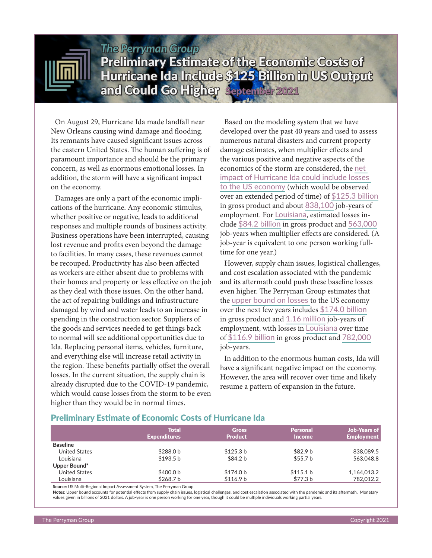

# *The Perryman Group* Preliminary Estimate of the Economic Costs of Hurricane Ida Include \$125 Billion in US Output and Could Go Higher September 2021

On August 29, Hurricane Ida made landfall near New Orleans causing wind damage and flooding. Its remnants have caused significant issues across the eastern United States. The human suffering is of paramount importance and should be the primary concern, as well as enormous emotional losses. In addition, the storm will have a significant impact on the economy.

Damages are only a part of the economic implications of the hurricane. Any economic stimulus, whether positive or negative, leads to additional responses and multiple rounds of business activity. Business operations have been interrupted, causing lost revenue and profits even beyond the damage to facilities. In many cases, these revenues cannot be recouped. Productivity has also been affected as workers are either absent due to problems with their homes and property or less effective on the job as they deal with those issues. On the other hand, the act of repairing buildings and infrastructure damaged by wind and water leads to an increase in spending in the construction sector. Suppliers of the goods and services needed to get things back to normal will see additional opportunities due to Ida. Replacing personal items, vehicles, furniture, and everything else will increase retail activity in the region. These benefits partially offset the overall losses. In the current situation, the supply chain is already disrupted due to the COVID-19 pandemic, which would cause losses from the storm to be even higher than they would be in normal times.

Based on the modeling system that we have developed over the past 40 years and used to assess numerous natural disasters and current property damage estimates, when multiplier effects and the various positive and negative aspects of the economics of the storm are considered, the net impact of Hurricane Ida could include losses to the US economy (which would be observed over an extended period of time) of \$125.3 billion in gross product and about 838,100 job-years of employment. For Louisiana, estimated losses include \$84.2 billion in gross product and 563,000 job-years when multiplier effects are considered. (A job-year is equivalent to one person working fulltime for one year.)

However, supply chain issues, logistical challenges, and cost escalation associated with the pandemic and its aftermath could push these baseline losses even higher. The Perryman Group estimates that the upper bound on losses to the US economy over the next few years includes \$174.0 billion in gross product and 1.16 million job-years of employment, with losses in Louisiana over time of \$116.9 billion in gross product and 782,000 job-years.

In addition to the enormous human costs, Ida will have a significant negative impact on the economy. However, the area will recover over time and likely resume a pattern of expansion in the future.

### Preliminary Estimate of Economic Costs of Hurricane Ida

|                      | Total<br><b>Expenditures</b> | <b>Gross</b><br><b>Product</b> | <b>Personal</b><br><b>Income</b> | <b>Job-Years of</b><br><b>Employment</b> |
|----------------------|------------------------------|--------------------------------|----------------------------------|------------------------------------------|
| <b>Baseline</b>      |                              |                                |                                  |                                          |
| <b>United States</b> | \$288.0 <sub>b</sub>         | \$125.3 b                      | \$82.9 <sub>b</sub>              | 838,089.5                                |
| Louisiana            | \$193.5 b                    | \$84.2 b                       | \$55.7 b                         | 563,048.8                                |
| Upper Bound*         |                              |                                |                                  |                                          |
| <b>United States</b> | \$400.0 b                    | \$174.0 b                      | \$115.1 b                        | 1.164.013.2                              |
| Louisiana            | \$268.7 b                    | \$116.9 b                      | \$77.3 b                         | 782,012.2                                |

**Source:** US Multi-Regional Impact Assessment System, The Perryman Group

**Notes:** Upper bound accounts for potential effects from supply chain issues, logistical challenges, and cost escalation associated with the pandemic and its aftermath. Monetary values given in billions of 2021 dollars. A job-year is one person working for one year, though it could be multiple individuals working partial years.